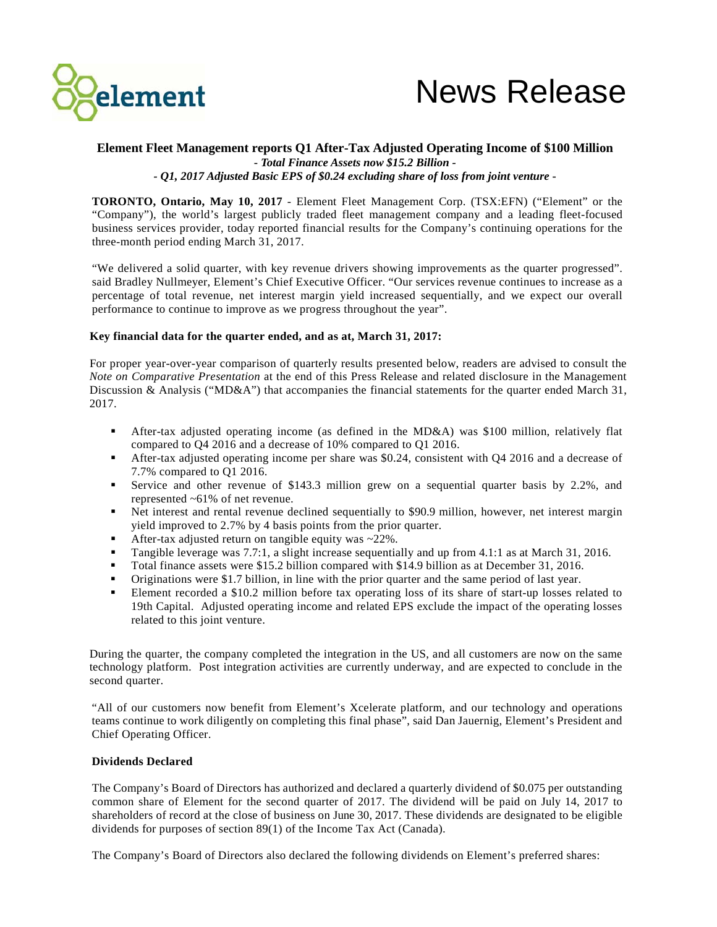

# **Element Fleet Management reports Q1 After-Tax Adjusted Operating Income of \$100 Million -** *Total Finance Assets now \$15.2 Billion - - Q1, 2017 Adjusted Basic EPS of \$0.24 excluding share of loss from joint venture* **-**

**TORONTO, Ontario, May 10, 2017** - Element Fleet Management Corp. (TSX:EFN) ("Element" or the "Company"), the world's largest publicly traded fleet management company and a leading fleet-focused business services provider, today reported financial results for the Company's continuing operations for the three-month period ending March 31, 2017.

"We delivered a solid quarter, with key revenue drivers showing improvements as the quarter progressed". said Bradley Nullmeyer, Element's Chief Executive Officer. "Our services revenue continues to increase as a percentage of total revenue, net interest margin yield increased sequentially, and we expect our overall performance to continue to improve as we progress throughout the year".

# **Key financial data for the quarter ended, and as at, March 31, 2017:**

For proper year-over-year comparison of quarterly results presented below, readers are advised to consult the *Note on Comparative Presentation* at the end of this Press Release and related disclosure in the Management Discussion & Analysis ("MD&A") that accompanies the financial statements for the quarter ended March 31, 2017.

- After-tax adjusted operating income (as defined in the MD&A) was \$100 million, relatively flat compared to Q4 2016 and a decrease of 10% compared to Q1 2016.
- After-tax adjusted operating income per share was \$0.24, consistent with Q4 2016 and a decrease of 7.7% compared to Q1 2016.
- Service and other revenue of \$143.3 million grew on a sequential quarter basis by 2.2%, and represented ~61% of net revenue.
- Net interest and rental revenue declined sequentially to \$90.9 million, however, net interest margin yield improved to 2.7% by 4 basis points from the prior quarter.
- After-tax adjusted return on tangible equity was ~22%.
- Tangible leverage was 7.7:1, a slight increase sequentially and up from 4.1:1 as at March 31, 2016.
- Total finance assets were \$15.2 billion compared with \$14.9 billion as at December 31, 2016.
- Originations were \$1.7 billion, in line with the prior quarter and the same period of last year.
- Element recorded a \$10.2 million before tax operating loss of its share of start-up losses related to 19th Capital. Adjusted operating income and related EPS exclude the impact of the operating losses related to this joint venture.

During the quarter, the company completed the integration in the US, and all customers are now on the same technology platform. Post integration activities are currently underway, and are expected to conclude in the second quarter.

"All of our customers now benefit from Element's Xcelerate platform, and our technology and operations teams continue to work diligently on completing this final phase", said Dan Jauernig, Element's President and Chief Operating Officer.

## **Dividends Declared**

The Company's Board of Directors has authorized and declared a quarterly dividend of \$0.075 per outstanding common share of Element for the second quarter of 2017. The dividend will be paid on July 14, 2017 to shareholders of record at the close of business on June 30, 2017. These dividends are designated to be eligible dividends for purposes of section 89(1) of the Income Tax Act (Canada).

The Company's Board of Directors also declared the following dividends on Element's preferred shares: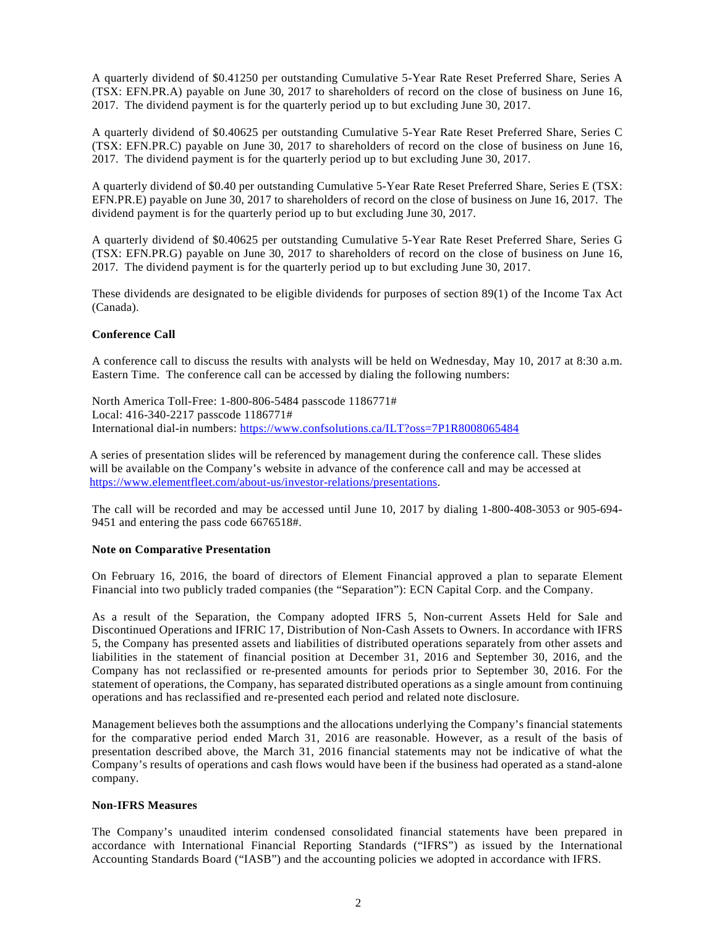A quarterly dividend of \$0.41250 per outstanding Cumulative 5-Year Rate Reset Preferred Share, Series A (TSX: EFN.PR.A) payable on June 30, 2017 to shareholders of record on the close of business on June 16, 2017. The dividend payment is for the quarterly period up to but excluding June 30, 2017.

A quarterly dividend of \$0.40625 per outstanding Cumulative 5-Year Rate Reset Preferred Share, Series C (TSX: EFN.PR.C) payable on June 30, 2017 to shareholders of record on the close of business on June 16, 2017. The dividend payment is for the quarterly period up to but excluding June 30, 2017.

A quarterly dividend of \$0.40 per outstanding Cumulative 5-Year Rate Reset Preferred Share, Series E (TSX: EFN.PR.E) payable on June 30, 2017 to shareholders of record on the close of business on June 16, 2017. The dividend payment is for the quarterly period up to but excluding June 30, 2017.

A quarterly dividend of \$0.40625 per outstanding Cumulative 5-Year Rate Reset Preferred Share, Series G (TSX: EFN.PR.G) payable on June 30, 2017 to shareholders of record on the close of business on June 16, 2017. The dividend payment is for the quarterly period up to but excluding June 30, 2017.

These dividends are designated to be eligible dividends for purposes of section 89(1) of the Income Tax Act (Canada).

## **Conference Call**

A conference call to discuss the results with analysts will be held on Wednesday, May 10, 2017 at 8:30 a.m. Eastern Time. The conference call can be accessed by dialing the following numbers:

North America Toll-Free: 1-800-806-5484 passcode 1186771# Local: 416-340-2217 passcode 1186771# International dial-in numbers:<https://www.confsolutions.ca/ILT?oss=7P1R8008065484>

A series of presentation slides will be referenced by management during the conference call. These slides will be available on the Company's website in advance of the conference call and may be accessed at [https://www.elementfleet.com/about-us/investor-relations/presentations.](https://www.elementfleet.com/about-us/investor-relations/presentations)

The call will be recorded and may be accessed until June 10, 2017 by dialing 1-800-408-3053 or 905-694- 9451 and entering the pass code 6676518#.

#### **Note on Comparative Presentation**

On February 16, 2016, the board of directors of Element Financial approved a plan to separate Element Financial into two publicly traded companies (the "Separation"): ECN Capital Corp. and the Company.

As a result of the Separation, the Company adopted IFRS 5, Non-current Assets Held for Sale and Discontinued Operations and IFRIC 17, Distribution of Non-Cash Assets to Owners. In accordance with IFRS 5, the Company has presented assets and liabilities of distributed operations separately from other assets and liabilities in the statement of financial position at December 31, 2016 and September 30, 2016, and the Company has not reclassified or re-presented amounts for periods prior to September 30, 2016. For the statement of operations, the Company, has separated distributed operations as a single amount from continuing operations and has reclassified and re-presented each period and related note disclosure.

Management believes both the assumptions and the allocations underlying the Company's financial statements for the comparative period ended March 31, 2016 are reasonable. However, as a result of the basis of presentation described above, the March 31, 2016 financial statements may not be indicative of what the Company's results of operations and cash flows would have been if the business had operated as a stand-alone company.

## **Non-IFRS Measures**

The Company's unaudited interim condensed consolidated financial statements have been prepared in accordance with International Financial Reporting Standards ("IFRS") as issued by the International Accounting Standards Board ("IASB") and the accounting policies we adopted in accordance with IFRS.